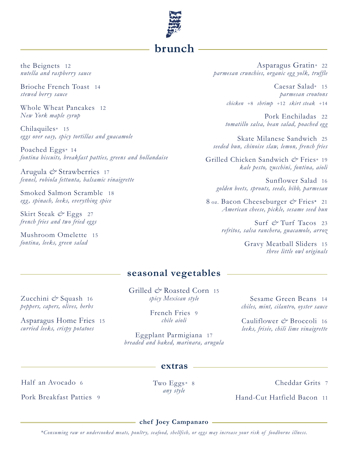

the Beignets 12 *nutella and raspberry sauce* 

Brioche French Toast 14 *stewed berry sauce* 

Whole Wheat Pancakes 12 *New York maple syrup*

Chilaquiles\* 15 *eggs over easy, spicy tortillas and guacamole*

Poached Eggs\* 14 *fontina biscuits, breakfast patties, greens and hollandaise*

Arugula *&* Strawberries 17 *fennel, robiola fettunta, balsamic vinaigrette*

Smoked Salmon Scramble 18 *egg, spinach, leeks, everything spice*

Skirt Steak *&* Eggs 27 *french fries and two fried eggs*

Mushroom Omelette 15 *fontina, leeks, green salad*

Zucchini *&* Squash 16 *peppers, capers, olives, herbs*

Asparagus Home Fries 15 *curried leeks, crispy potatoes*

Asparagus Gratin*\** 22 *parmesan crunchies, organic egg yolk, truffle*

> Caesar Salad\* 15 *parmesan croutons chicken* +8 *shrimp* +12 *skirt steak* +14

> Pork Enchiladas 22 *tomatillo salsa, bean salad, poached egg*

Skate Milanese Sandwich 25 *seeded bun, chinoise slaw, lemon, french fries*

Grilled Chicken Sandwich *&* Fries\* 19 *kale pesto, zucchini, fontina, aioli*

Sunflower Salad 16 *golden beets, sprouts, seeds, bibb, parmesan*

8 oz. Bacon Cheeseburger *&* Fries\* 21 *American cheese, pickle, sesame seed bun*

> Surf *&* Turf Tacos 23 *refritos, salsa ranchera, guacamole, arroz*

> > Gravy Meatball Sliders <sup>15</sup> *three little owl originals*

## **seasonal vegetables**

Grilled & Roasted Corn 15 *spicy Mexican style*

> French Fries 9 *chile aioli*

Eggplant Parmigiana 17 *breaded and baked, marinara, arugula*

**extras**

Sesame Green Beans 14 *chiles, mint, cilantro, oyster sauce*

Cauliflower *&* Broccoli 16 *leeks, frisée, chili lime vinaigrette*

Half an Avocado 6

Two Eggs*\** 8 *any style*

Cheddar Grits 7

Hand-Cut Hatfield Bacon 11

Pork Breakfast Patties 9

**chef Joey Campanaro**

*\*Consuming raw or undercooked meats, poultry, seafood, shellfish, or eggs may increase your risk of foodborne illness.*